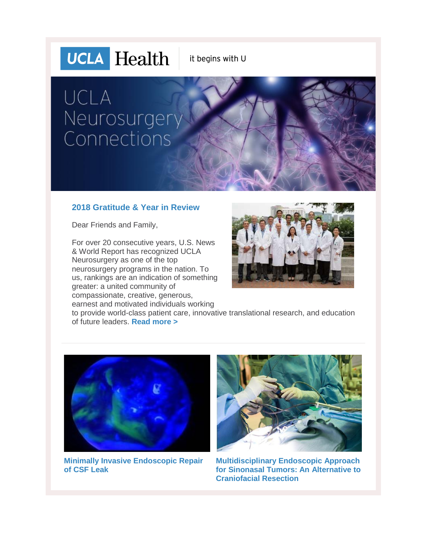## **UCLA** Health

it begins with U

## UCLA Neurosurgery Connections

#### **2018 Gratitude & Year in Review**

Dear Friends and Family,

For over 20 consecutive years, U.S. News & World Report has recognized UCLA Neurosurgery as one of the top neurosurgery programs in the nation. To us, rankings are an indication of something greater: a united community of compassionate, creative, generous, earnest and motivated individuals working



to provide world-class patient care, innovative translational research, and education of future leaders. **[Read more >](http://r20.rs6.net/tn.jsp?f=001ccNdPHpAB2TSrKyey1dY260L0DiViUc0xojkQv4HhHPM_GgCiRrdl_57lZmuunX0p3K_u0eM1Y0nzGZU2aym1yAAKJrGJ1vctl5VdljRcrdjWNkR8PDLfqBloPlHSlLS7IeZCksNPOqo7ZyMDchxqXCnuORrpJsVlWY6Ysdoxe8Vjl9PDtNOsJLbfwF74nMkE2hSHm9ryUTqFRuhvk0UFJ-KkCSoPJOe&c=Wv7u1N_177vp-7Gg5VMqa1O5NNxtIC8KSnd3hxvn2_uSGm3IQ0jTag==&ch=LZe770inJ5XQrc0cXEKJgJz5X8BfRuxUWfowXPHJg4sZ3shTNgAIEg==)**



**[Minimally Invasive Endoscopic Repair](http://r20.rs6.net/tn.jsp?f=001ccNdPHpAB2TSrKyey1dY260L0DiViUc0xojkQv4HhHPM_GgCiRrdl_57lZmuunX0N8VTez7uyRXQeIR4EO0xJUBieP_EaYvyMBsecXKo_fyAaxGYqTKo6Xl47tpRagtX0JR2Pjk0rzwPeXZ5-th2IhTBXJ1nPXVkvV-R3q4PZeljCo0ykXxrHIyL4uX2ATc0tpNDD7_I8FPrvrbbDHRJwHU2JCZtqXcTr1ivsEZFm0U=&c=Wv7u1N_177vp-7Gg5VMqa1O5NNxtIC8KSnd3hxvn2_uSGm3IQ0jTag==&ch=LZe770inJ5XQrc0cXEKJgJz5X8BfRuxUWfowXPHJg4sZ3shTNgAIEg==)  [of CSF Leak](http://r20.rs6.net/tn.jsp?f=001ccNdPHpAB2TSrKyey1dY260L0DiViUc0xojkQv4HhHPM_GgCiRrdl_57lZmuunX0N8VTez7uyRXQeIR4EO0xJUBieP_EaYvyMBsecXKo_fyAaxGYqTKo6Xl47tpRagtX0JR2Pjk0rzwPeXZ5-th2IhTBXJ1nPXVkvV-R3q4PZeljCo0ykXxrHIyL4uX2ATc0tpNDD7_I8FPrvrbbDHRJwHU2JCZtqXcTr1ivsEZFm0U=&c=Wv7u1N_177vp-7Gg5VMqa1O5NNxtIC8KSnd3hxvn2_uSGm3IQ0jTag==&ch=LZe770inJ5XQrc0cXEKJgJz5X8BfRuxUWfowXPHJg4sZ3shTNgAIEg==)**



**[Multidisciplinary Endoscopic Approach](http://r20.rs6.net/tn.jsp?f=001ccNdPHpAB2TSrKyey1dY260L0DiViUc0xojkQv4HhHPM_GgCiRrdl_57lZmuunX0AKGbXzvMhCU_SszHzDC4lunXoLIxR3DfgvfpCKYQamiytSvEijrGwcE8jPHNFf0OXV0GK9RUBrZ3xtu2FkHENA80J-9tLBtbFW0HV0W_aZGkrBwk0f8_rXDKGuHP7sCDIeqzkHLaKO_iRp4ARDcLOgkUGb2e_rF4Q_6LhxqX_Ck=&c=Wv7u1N_177vp-7Gg5VMqa1O5NNxtIC8KSnd3hxvn2_uSGm3IQ0jTag==&ch=LZe770inJ5XQrc0cXEKJgJz5X8BfRuxUWfowXPHJg4sZ3shTNgAIEg==)  [for Sinonasal Tumors: An Alternative to](http://r20.rs6.net/tn.jsp?f=001ccNdPHpAB2TSrKyey1dY260L0DiViUc0xojkQv4HhHPM_GgCiRrdl_57lZmuunX0AKGbXzvMhCU_SszHzDC4lunXoLIxR3DfgvfpCKYQamiytSvEijrGwcE8jPHNFf0OXV0GK9RUBrZ3xtu2FkHENA80J-9tLBtbFW0HV0W_aZGkrBwk0f8_rXDKGuHP7sCDIeqzkHLaKO_iRp4ARDcLOgkUGb2e_rF4Q_6LhxqX_Ck=&c=Wv7u1N_177vp-7Gg5VMqa1O5NNxtIC8KSnd3hxvn2_uSGm3IQ0jTag==&ch=LZe770inJ5XQrc0cXEKJgJz5X8BfRuxUWfowXPHJg4sZ3shTNgAIEg==)  [Craniofacial Resection](http://r20.rs6.net/tn.jsp?f=001ccNdPHpAB2TSrKyey1dY260L0DiViUc0xojkQv4HhHPM_GgCiRrdl_57lZmuunX0AKGbXzvMhCU_SszHzDC4lunXoLIxR3DfgvfpCKYQamiytSvEijrGwcE8jPHNFf0OXV0GK9RUBrZ3xtu2FkHENA80J-9tLBtbFW0HV0W_aZGkrBwk0f8_rXDKGuHP7sCDIeqzkHLaKO_iRp4ARDcLOgkUGb2e_rF4Q_6LhxqX_Ck=&c=Wv7u1N_177vp-7Gg5VMqa1O5NNxtIC8KSnd3hxvn2_uSGm3IQ0jTag==&ch=LZe770inJ5XQrc0cXEKJgJz5X8BfRuxUWfowXPHJg4sZ3shTNgAIEg==)**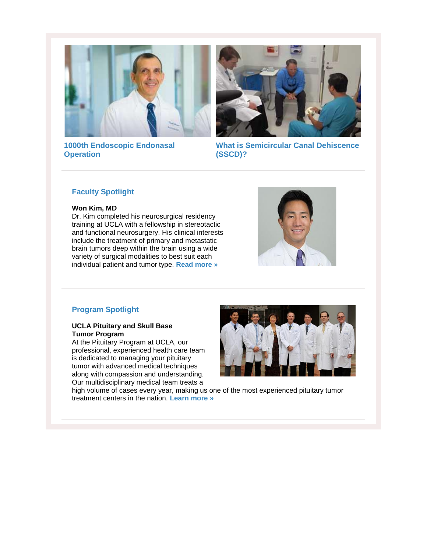



**[1000th Endoscopic Endonasal](http://r20.rs6.net/tn.jsp?f=001ccNdPHpAB2TSrKyey1dY260L0DiViUc0xojkQv4HhHPM_GgCiRrdl_57lZmuunX08d8xHKY99_nZ0ErhHHNKR6XSD84TAIyFojQgVTPgekUUqbdBLjfkLU2jCCIY9HclOYNhLGUPbB4mjz5WzT6fi4gHlzf8hUJPG9vU8x9Z8gDoigbzDKdVBw==&c=Wv7u1N_177vp-7Gg5VMqa1O5NNxtIC8KSnd3hxvn2_uSGm3IQ0jTag==&ch=LZe770inJ5XQrc0cXEKJgJz5X8BfRuxUWfowXPHJg4sZ3shTNgAIEg==)  [Operation](http://r20.rs6.net/tn.jsp?f=001ccNdPHpAB2TSrKyey1dY260L0DiViUc0xojkQv4HhHPM_GgCiRrdl_57lZmuunX08d8xHKY99_nZ0ErhHHNKR6XSD84TAIyFojQgVTPgekUUqbdBLjfkLU2jCCIY9HclOYNhLGUPbB4mjz5WzT6fi4gHlzf8hUJPG9vU8x9Z8gDoigbzDKdVBw==&c=Wv7u1N_177vp-7Gg5VMqa1O5NNxtIC8KSnd3hxvn2_uSGm3IQ0jTag==&ch=LZe770inJ5XQrc0cXEKJgJz5X8BfRuxUWfowXPHJg4sZ3shTNgAIEg==)**

**[What is Semicircular Canal Dehiscence](http://r20.rs6.net/tn.jsp?f=001ccNdPHpAB2TSrKyey1dY260L0DiViUc0xojkQv4HhHPM_GgCiRrdl_57lZmuunX017kq6jIfxYknCkOHvclE9nQBFB_jOSRfCTE_fJkITUmKqh4eiR5IsrFyXTJnmTjDzFiQWl6w4fNwSPPSCclOJyB3YgxHPkEI8eoPlXUzwkQi3EnfxMsKasAPmFbGFs5PCknTFKJLUnd8HbCsWQxEHFctA-ghVzsR&c=Wv7u1N_177vp-7Gg5VMqa1O5NNxtIC8KSnd3hxvn2_uSGm3IQ0jTag==&ch=LZe770inJ5XQrc0cXEKJgJz5X8BfRuxUWfowXPHJg4sZ3shTNgAIEg==)  [\(SSCD\)?](http://r20.rs6.net/tn.jsp?f=001ccNdPHpAB2TSrKyey1dY260L0DiViUc0xojkQv4HhHPM_GgCiRrdl_57lZmuunX017kq6jIfxYknCkOHvclE9nQBFB_jOSRfCTE_fJkITUmKqh4eiR5IsrFyXTJnmTjDzFiQWl6w4fNwSPPSCclOJyB3YgxHPkEI8eoPlXUzwkQi3EnfxMsKasAPmFbGFs5PCknTFKJLUnd8HbCsWQxEHFctA-ghVzsR&c=Wv7u1N_177vp-7Gg5VMqa1O5NNxtIC8KSnd3hxvn2_uSGm3IQ0jTag==&ch=LZe770inJ5XQrc0cXEKJgJz5X8BfRuxUWfowXPHJg4sZ3shTNgAIEg==)**

#### **Faculty Spotlight**

#### **Won Kim, MD**

Dr. Kim completed his neurosurgical residency training at UCLA with a fellowship in stereotactic and functional neurosurgery. His clinical interests include the treatment of primary and metastatic brain tumors deep within the brain using a wide variety of surgical modalities to best suit each individual patient and tumor type. **[Read more »](http://r20.rs6.net/tn.jsp?f=001ccNdPHpAB2TSrKyey1dY260L0DiViUc0xojkQv4HhHPM_GgCiRrdl23nGztuwVWvhMywp3zvmjYkMTpR88n_v-tFUWF9xzOB4pjS76L17Bu7alDYRlj-PDVJPtCJZ9jxEAYjAtLX-eHP33ADY9GFiNe7NU-ZFeOWQIQGjqeh_fqYC_djor8NdXngWrSxObN1&c=Wv7u1N_177vp-7Gg5VMqa1O5NNxtIC8KSnd3hxvn2_uSGm3IQ0jTag==&ch=LZe770inJ5XQrc0cXEKJgJz5X8BfRuxUWfowXPHJg4sZ3shTNgAIEg==)**



#### **Program Spotlight**

#### **UCLA Pituitary and Skull Base Tumor Program**

At the Pituitary Program at UCLA, our professional, experienced health care team is dedicated to managing your pituitary tumor with advanced medical techniques along with compassion and understanding. Our multidisciplinary medical team treats a



high volume of cases every year, making us one of the most experienced pituitary tumor treatment centers in the nation. **[Learn more »](http://r20.rs6.net/tn.jsp?f=001ccNdPHpAB2TSrKyey1dY260L0DiViUc0xojkQv4HhHPM_GgCiRrdl_57lZmuunX0ILdT4SaneLmz-oiMHo4xMET7Oq8CZDhw45k_LYfBKkdStx5NtC0z8CtzefuR1wBf9FaN8ozKfMfkk3DTQtBq5pM5hO_LVjyEhobUmIfJoCy0pu7sj6Csi1kp7bmo30PP&c=Wv7u1N_177vp-7Gg5VMqa1O5NNxtIC8KSnd3hxvn2_uSGm3IQ0jTag==&ch=LZe770inJ5XQrc0cXEKJgJz5X8BfRuxUWfowXPHJg4sZ3shTNgAIEg==)**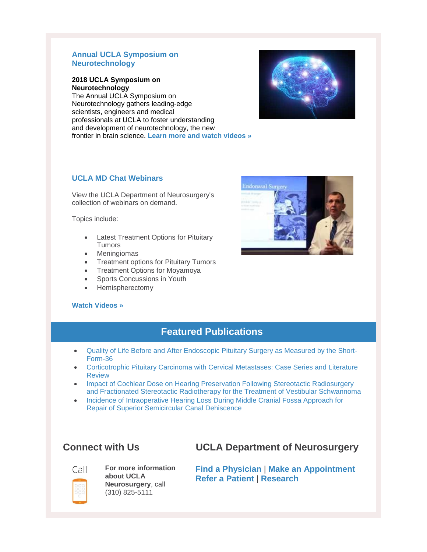#### **Annual UCLA Symposium on Neurotechnology**

#### **2018 UCLA Symposium on Neurotechnology**

The Annual UCLA Symposium on Neurotechnology gathers leading-edge scientists, engineers and medical professionals at UCLA to foster understanding and development of neurotechnology, the new frontier in brain science. **[Learn more and watch videos »](http://r20.rs6.net/tn.jsp?f=001ccNdPHpAB2TSrKyey1dY260L0DiViUc0xojkQv4HhHPM_GgCiRrdl_57lZmuunX03qIFAmcyATuJPo9hkyEjakNDEB5o4ibrQNOPsLx4KzM4XeFYMPgkxtx_eH7rmB5ugt2QC6rwNs0rAUq8Pe8z5uqf2jkoUqil_Qc9ZU1jrjWfMnCAIJ_Fy0Acmj90LLze1Tr2Sb2BR-3-hXir1zqzQw==&c=Wv7u1N_177vp-7Gg5VMqa1O5NNxtIC8KSnd3hxvn2_uSGm3IQ0jTag==&ch=LZe770inJ5XQrc0cXEKJgJz5X8BfRuxUWfowXPHJg4sZ3shTNgAIEg==)**



#### **UCLA MD Chat Webinars**

View the UCLA Department of Neurosurgery's collection of webinars on demand.

Topics include:

- Latest Treatment Options for Pituitary Tumors
- Meningiomas
- Treatment options for Pituitary Tumors
- Treatment Options for Moyamoya
- Sports Concussions in Youth
- Hemispherectomy

#### **[Watch Videos »](http://r20.rs6.net/tn.jsp?f=001ccNdPHpAB2TSrKyey1dY260L0DiViUc0xojkQv4HhHPM_GgCiRrdl3qfhnIgEfpWxHP4nNDJ9g0x7WEjT2vCKZlWTaDQm2Y3MwR8vL9bMBuoXW9pD_BtS2LR1hG-Zu9WWf5HCC9Gc6rqp88-myt-TROfQ1P9dcqILJnNhJsUYxWHfpoas8au1IhR0jMXEIj0&c=Wv7u1N_177vp-7Gg5VMqa1O5NNxtIC8KSnd3hxvn2_uSGm3IQ0jTag==&ch=LZe770inJ5XQrc0cXEKJgJz5X8BfRuxUWfowXPHJg4sZ3shTNgAIEg==)**



### **Featured Publications**

- [Quality of Life Before and After Endoscopic Pituitary Surgery as Measured by the Short-](http://r20.rs6.net/tn.jsp?f=001ccNdPHpAB2TSrKyey1dY260L0DiViUc0xojkQv4HhHPM_GgCiRrdl_57lZmuunX0zyWZokCQ14AVy1B1c45mtVOoTyzdl1aNCSj0HoeWc8h_4FUZzHKQYlJFV6PxBnNONb7H1kK5MWoyOdgFbXe1QjMZT3gGg_mgj2TVgKo2pqoBOYFgH-KAANsd5oTlUD-xbWqYf_aRw1J00FxOcH0FZjqIMqWY1H7F1EPs2rkSyZByppyOJGLZ9NebkEvYkDw5rwI57VgtIip4j41uMM-gJKgwQ0DYpBvauSLOTv-62YMhfn5zcgoGUeXP9EaxOb1ZcO5gMpReqnzfVcaxZYywCclPGicrn4onKNLiSLBxb04=&c=Wv7u1N_177vp-7Gg5VMqa1O5NNxtIC8KSnd3hxvn2_uSGm3IQ0jTag==&ch=LZe770inJ5XQrc0cXEKJgJz5X8BfRuxUWfowXPHJg4sZ3shTNgAIEg==)[Form-36](http://r20.rs6.net/tn.jsp?f=001ccNdPHpAB2TSrKyey1dY260L0DiViUc0xojkQv4HhHPM_GgCiRrdl_57lZmuunX0zyWZokCQ14AVy1B1c45mtVOoTyzdl1aNCSj0HoeWc8h_4FUZzHKQYlJFV6PxBnNONb7H1kK5MWoyOdgFbXe1QjMZT3gGg_mgj2TVgKo2pqoBOYFgH-KAANsd5oTlUD-xbWqYf_aRw1J00FxOcH0FZjqIMqWY1H7F1EPs2rkSyZByppyOJGLZ9NebkEvYkDw5rwI57VgtIip4j41uMM-gJKgwQ0DYpBvauSLOTv-62YMhfn5zcgoGUeXP9EaxOb1ZcO5gMpReqnzfVcaxZYywCclPGicrn4onKNLiSLBxb04=&c=Wv7u1N_177vp-7Gg5VMqa1O5NNxtIC8KSnd3hxvn2_uSGm3IQ0jTag==&ch=LZe770inJ5XQrc0cXEKJgJz5X8BfRuxUWfowXPHJg4sZ3shTNgAIEg==)
- [Corticotrophic Pituitary Carcinoma with Cervical Metastases: Case Series and Literature](http://r20.rs6.net/tn.jsp?f=001ccNdPHpAB2TSrKyey1dY260L0DiViUc0xojkQv4HhHPM_GgCiRrdl_57lZmuunX0B2oHgdrlAViNFUNhU-LwDNe4yzHL3d9l4J1IPD63P-qdyng8nF0Sh_vXbRKuSZDHMV46gWqIpZvfOgVDkGHmrOr675dvt4r9fJqtpkD_l4ZOgPMo75H8yVTIfiQEVPCjVZ1R1HO1yRSUkuZM40aTzQ4epCXSPS2eFByBgr1ywIQplD_R2TFf-v1POXbr2oef_OERBC8WCeE1h_fUhVyh8sJWDzkWgGWFo4e6PccJK635NrwPdkQ4m9tr18bkOearytC5PbGWwn3t9nAoaBG27_yJDQBT7k6PZxo6NPhtprZ_rXrj9f0QYud_RDikuHUZ9XoWd90kWUfSars1cim_knAsAJOWKEUO0BfVALXCu6I_NrwhWmoIFuz3yPn1Nw0iuR6yxzRmt84dj2lvQ5lO0hEKYGRAS8tCTEzaYQrnzqKTWuJf08yhtw7H2JOiLs5UmRZKtA5pHiU=&c=Wv7u1N_177vp-7Gg5VMqa1O5NNxtIC8KSnd3hxvn2_uSGm3IQ0jTag==&ch=LZe770inJ5XQrc0cXEKJgJz5X8BfRuxUWfowXPHJg4sZ3shTNgAIEg==)  [Review](http://r20.rs6.net/tn.jsp?f=001ccNdPHpAB2TSrKyey1dY260L0DiViUc0xojkQv4HhHPM_GgCiRrdl_57lZmuunX0B2oHgdrlAViNFUNhU-LwDNe4yzHL3d9l4J1IPD63P-qdyng8nF0Sh_vXbRKuSZDHMV46gWqIpZvfOgVDkGHmrOr675dvt4r9fJqtpkD_l4ZOgPMo75H8yVTIfiQEVPCjVZ1R1HO1yRSUkuZM40aTzQ4epCXSPS2eFByBgr1ywIQplD_R2TFf-v1POXbr2oef_OERBC8WCeE1h_fUhVyh8sJWDzkWgGWFo4e6PccJK635NrwPdkQ4m9tr18bkOearytC5PbGWwn3t9nAoaBG27_yJDQBT7k6PZxo6NPhtprZ_rXrj9f0QYud_RDikuHUZ9XoWd90kWUfSars1cim_knAsAJOWKEUO0BfVALXCu6I_NrwhWmoIFuz3yPn1Nw0iuR6yxzRmt84dj2lvQ5lO0hEKYGRAS8tCTEzaYQrnzqKTWuJf08yhtw7H2JOiLs5UmRZKtA5pHiU=&c=Wv7u1N_177vp-7Gg5VMqa1O5NNxtIC8KSnd3hxvn2_uSGm3IQ0jTag==&ch=LZe770inJ5XQrc0cXEKJgJz5X8BfRuxUWfowXPHJg4sZ3shTNgAIEg==)
- Impact of Cochlear Dose on Hearing Preservation Following Stereotactic Radiosurgery [and Fractionated Stereotactic Radiotherapy for the Treatment of Vestibular Schwannoma](http://r20.rs6.net/tn.jsp?f=001ccNdPHpAB2TSrKyey1dY260L0DiViUc0xojkQv4HhHPM_GgCiRrdl_57lZmuunX0O3o1KhWB8U8fpUcQ3ssXgNxzIzZRIj1TaVrOxqxmJ1y_65TlVEtDujKuOKBxYXgEqoM8LOlfKoQYM9BzO0yxI3cu48mgEo-gPS8sWAbrUczGJ51ALJ6ZHGhHpZTbwIjG4XwdQQteqWpRkip6eXGRb_4ruugRTCQzVbz40ERPwo2PoCLVtvOmShNYD5nu_xb2sw2Wg9aghbV5Y02ylI4A4edDYMZBQwK_CGI5biSRQ22nFNbpn_IBejmm4_npzRvawI2wKry7uD8mm57Hcl2zPnNq8hmi49F7TfOylPsgvDXP1BNTP3d7vPOtzp0xeRqfLcTJFqyEHX-xepRbO8sUJEbv1qgEknF8JE9XLcjn3bl5taSjSXS1bcKxNyDZK1tlWbQUtfwPZE_Aq60xzuowp9ke-UuiqqZH&c=Wv7u1N_177vp-7Gg5VMqa1O5NNxtIC8KSnd3hxvn2_uSGm3IQ0jTag==&ch=LZe770inJ5XQrc0cXEKJgJz5X8BfRuxUWfowXPHJg4sZ3shTNgAIEg==)
- Incidence of Intraoperative Hearing Loss During Middle Cranial Fossa Approach for [Repair of Superior Semicircular Canal Dehiscence](http://r20.rs6.net/tn.jsp?f=001ccNdPHpAB2TSrKyey1dY260L0DiViUc0xojkQv4HhHPM_GgCiRrdl_57lZmuunX0_8l10tcI03sosxSJyrkYfVwbLXQWw5YqUbSQ4DxMOSrz8P7l_qHn9c-2KTdez4FLRxTMcoOlg2oNKye3lClOTt4wSgld0_OBsjP8pZ05ZpuXEM0spe_ofFJ0t0uoibuzTAccNTJH1wIDoBvqfn91O1Tn1HVP6fBuge9iBIOAdNBZPxTqa7QkhQe6wgnTQ6TLKuGuSaLPpx_hOmwlKKhC9CAsc0rD6Fz9Um4w5WM8_K7RVFnve-lBA_l5cjF278kcQ_k3gL458sIkh6cJEmloku0IN93fc-dL_M2zabieSGxOHAfX_MDkxgU0HSQ9BU5eK-WXkjAHloqRRCM6dTWXym_DouJ4M-IlAQyKU7O5c0M=&c=Wv7u1N_177vp-7Gg5VMqa1O5NNxtIC8KSnd3hxvn2_uSGm3IQ0jTag==&ch=LZe770inJ5XQrc0cXEKJgJz5X8BfRuxUWfowXPHJg4sZ3shTNgAIEg==)

# $Call$

**For more information about UCLA Neurosurgery**, call (310) 825-5111

**Connect with Us UCLA Department of Neurosurgery**

**[Find a Physician](http://r20.rs6.net/tn.jsp?f=001ccNdPHpAB2TSrKyey1dY260L0DiViUc0xojkQv4HhHPM_GgCiRrdl3qfhnIgEfpWuBOBEnJwSpypyZFBHieqptc2XY0af6kWWBXrbKpt28_wz0UqUXbDn3jvVlRVLqc_itcj4xokgzbNrxZ3YBaJY_jysS9XTPFunpY5jEuiICKbJ4CB8ROq5Sm99KnFD_dy7J_994G2GiM=&c=Wv7u1N_177vp-7Gg5VMqa1O5NNxtIC8KSnd3hxvn2_uSGm3IQ0jTag==&ch=LZe770inJ5XQrc0cXEKJgJz5X8BfRuxUWfowXPHJg4sZ3shTNgAIEg==)** | **[Make an Appointment](http://r20.rs6.net/tn.jsp?f=001ccNdPHpAB2TSrKyey1dY260L0DiViUc0xojkQv4HhHPM_GgCiRrdl3qfhnIgEfpWjSAq1v5sfBbYLYEr43dDolqZK3CXJ4yWlvHnZGEZJMLsW0w5bOQChPJfevS3QenOCeHSId0UpmAyg0BtkP9GMMnSg61YuqxrwhosH3Lvgu6zAjLidOoVt88btJ8RF7yjlcx_tH1-Nao=&c=Wv7u1N_177vp-7Gg5VMqa1O5NNxtIC8KSnd3hxvn2_uSGm3IQ0jTag==&ch=LZe770inJ5XQrc0cXEKJgJz5X8BfRuxUWfowXPHJg4sZ3shTNgAIEg==) [Refer a Patient](http://r20.rs6.net/tn.jsp?f=001ccNdPHpAB2TSrKyey1dY260L0DiViUc0xojkQv4HhHPM_GgCiRrdl3qfhnIgEfpWaO5KvzPmlYRIGu6KczfJbyGE_dwSNlVoShUpLdxmZwMu0yuIAXJUVzmaqMjN1p91wJZaxNCZ--YSmAERPScRTR4W-XA_usg7GlYMY8VTYcp11BpT8LHtS3r9-JWDzpMz23Vy7EhZ0QKm7Ac3VG3Q7Q==&c=Wv7u1N_177vp-7Gg5VMqa1O5NNxtIC8KSnd3hxvn2_uSGm3IQ0jTag==&ch=LZe770inJ5XQrc0cXEKJgJz5X8BfRuxUWfowXPHJg4sZ3shTNgAIEg==)** | **[Research](http://r20.rs6.net/tn.jsp?f=001ccNdPHpAB2TSrKyey1dY260L0DiViUc0xojkQv4HhHPM_GgCiRrdl3qfhnIgEfpWghjEHOnnUQF64_buzK4jZnZk9ApGCHVMg8fRKYqIe-AcEO6uBESXM0tYxIFcPkEnIiPe7t5vklUkwtJ-YOmwjlIuOXbwOCFNVuOlOL7ogWkOXqqj1pzr6ZWA6z5Ejzyi&c=Wv7u1N_177vp-7Gg5VMqa1O5NNxtIC8KSnd3hxvn2_uSGm3IQ0jTag==&ch=LZe770inJ5XQrc0cXEKJgJz5X8BfRuxUWfowXPHJg4sZ3shTNgAIEg==)**